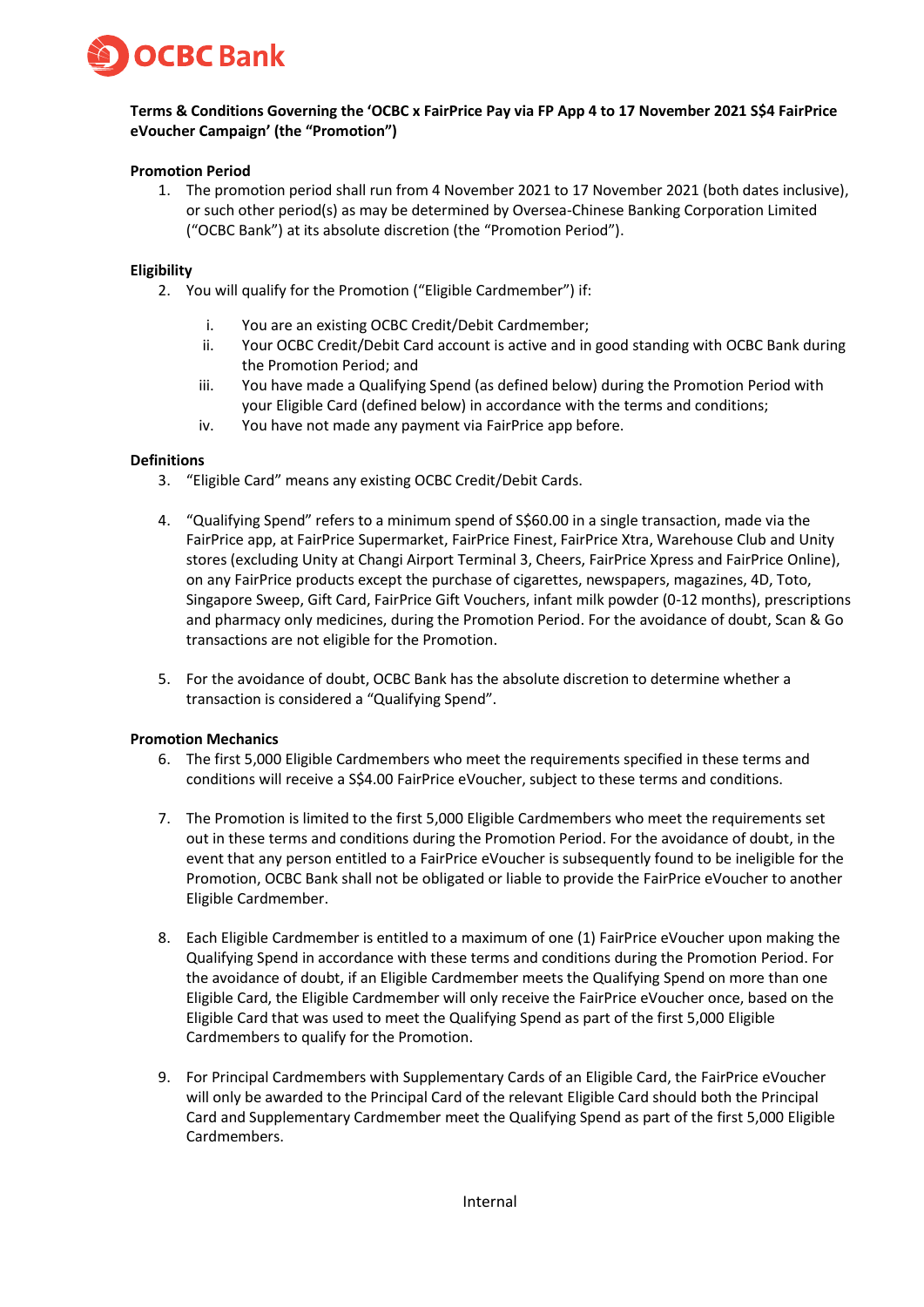

# **Terms & Conditions Governing the 'OCBC x FairPrice Pay via FP App 4 to 17 November 2021 S\$4 FairPrice eVoucher Campaign' (the "Promotion")**

## **Promotion Period**

1. The promotion period shall run from 4 November 2021 to 17 November 2021 (both dates inclusive), or such other period(s) as may be determined by Oversea-Chinese Banking Corporation Limited ("OCBC Bank") at its absolute discretion (the "Promotion Period").

### **Eligibility**

- 2. You will qualify for the Promotion ("Eligible Cardmember") if:
	- i. You are an existing OCBC Credit/Debit Cardmember;
	- ii. Your OCBC Credit/Debit Card account is active and in good standing with OCBC Bank during the Promotion Period; and
	- iii. You have made a Qualifying Spend (as defined below) during the Promotion Period with your Eligible Card (defined below) in accordance with the terms and conditions;
	- iv. You have not made any payment via FairPrice app before.

#### **Definitions**

- 3. "Eligible Card" means any existing OCBC Credit/Debit Cards.
- 4. "Qualifying Spend" refers to a minimum spend of S\$60.00 in a single transaction, made via the FairPrice app, at FairPrice Supermarket, FairPrice Finest, FairPrice Xtra, Warehouse Club and Unity stores (excluding Unity at Changi Airport Terminal 3, Cheers, FairPrice Xpress and FairPrice Online), on any FairPrice products except the purchase of cigarettes, newspapers, magazines, 4D, Toto, Singapore Sweep, Gift Card, FairPrice Gift Vouchers, infant milk powder (0-12 months), prescriptions and pharmacy only medicines, during the Promotion Period. For the avoidance of doubt, Scan & Go transactions are not eligible for the Promotion.
- 5. For the avoidance of doubt, OCBC Bank has the absolute discretion to determine whether a transaction is considered a "Qualifying Spend".

#### **Promotion Mechanics**

- 6. The first 5,000 Eligible Cardmembers who meet the requirements specified in these terms and conditions will receive a S\$4.00 FairPrice eVoucher, subject to these terms and conditions.
- 7. The Promotion is limited to the first 5,000 Eligible Cardmembers who meet the requirements set out in these terms and conditions during the Promotion Period. For the avoidance of doubt, in the event that any person entitled to a FairPrice eVoucher is subsequently found to be ineligible for the Promotion, OCBC Bank shall not be obligated or liable to provide the FairPrice eVoucher to another Eligible Cardmember.
- 8. Each Eligible Cardmember is entitled to a maximum of one (1) FairPrice eVoucher upon making the Qualifying Spend in accordance with these terms and conditions during the Promotion Period. For the avoidance of doubt, if an Eligible Cardmember meets the Qualifying Spend on more than one Eligible Card, the Eligible Cardmember will only receive the FairPrice eVoucher once, based on the Eligible Card that was used to meet the Qualifying Spend as part of the first 5,000 Eligible Cardmembers to qualify for the Promotion.
- 9. For Principal Cardmembers with Supplementary Cards of an Eligible Card, the FairPrice eVoucher will only be awarded to the Principal Card of the relevant Eligible Card should both the Principal Card and Supplementary Cardmember meet the Qualifying Spend as part of the first 5,000 Eligible Cardmembers.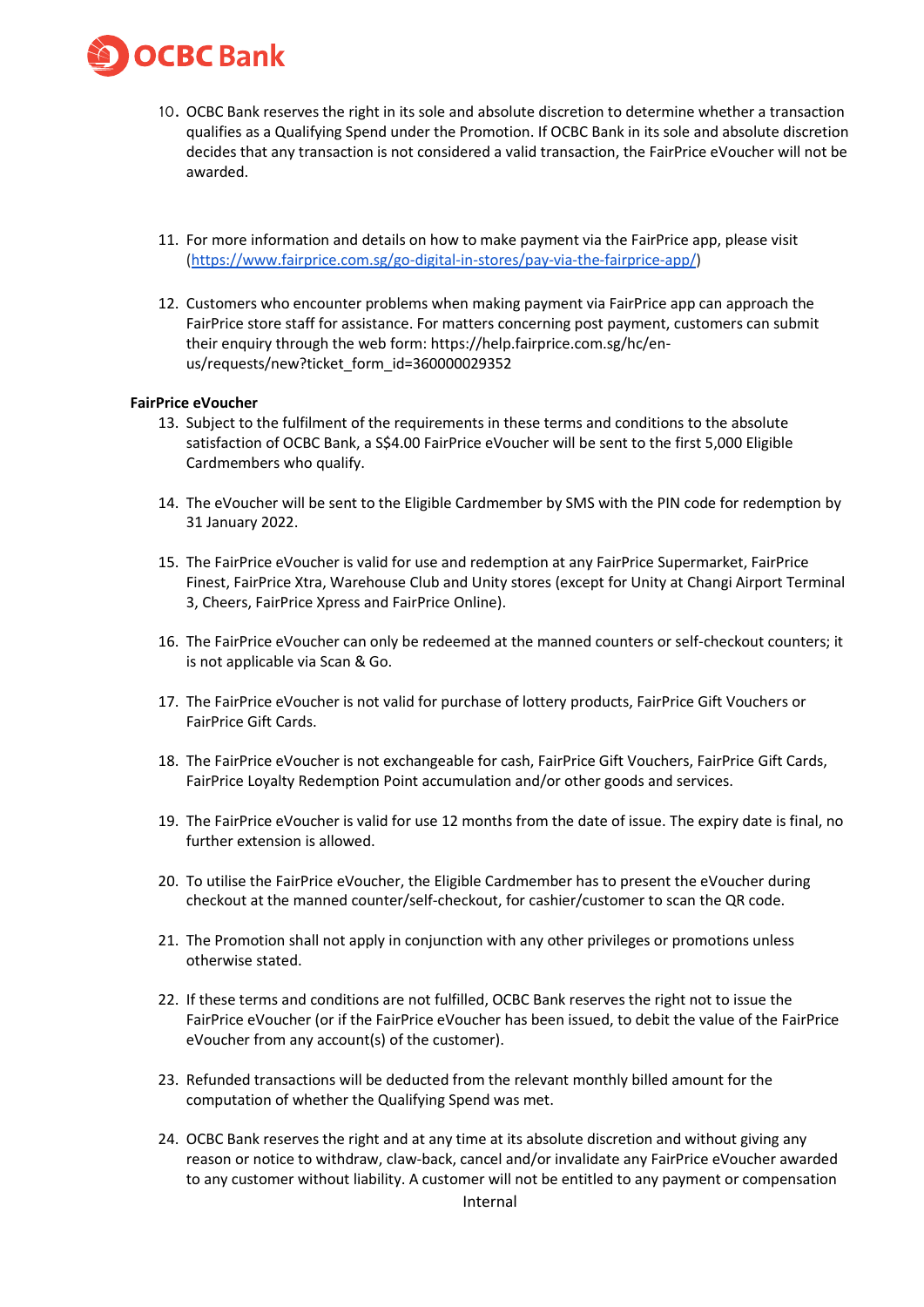

- 10. OCBC Bank reserves the right in its sole and absolute discretion to determine whether a transaction qualifies as a Qualifying Spend under the Promotion. If OCBC Bank in its sole and absolute discretion decides that any transaction is not considered a valid transaction, the FairPrice eVoucher will not be awarded.
- 11. For more information and details on how to make payment via the FairPrice app, please visit [\(https://www.fairprice.com.sg/go-digital-in-stores/pay-via-the-fairprice-app/\)](https://www.fairprice.com.sg/go-digital-in-stores/pay-via-the-fairprice-app/)
- 12. Customers who encounter problems when making payment via FairPrice app can approach the FairPrice store staff for assistance. For matters concerning post payment, customers can submit their enquiry through the web form: https://help.fairprice.com.sg/hc/enus/requests/new?ticket\_form\_id=360000029352

#### **FairPrice eVoucher**

- 13. Subject to the fulfilment of the requirements in these terms and conditions to the absolute satisfaction of OCBC Bank, a S\$4.00 FairPrice eVoucher will be sent to the first 5,000 Eligible Cardmembers who qualify.
- 14. The eVoucher will be sent to the Eligible Cardmember by SMS with the PIN code for redemption by 31 January 2022.
- 15. The FairPrice eVoucher is valid for use and redemption at any FairPrice Supermarket, FairPrice Finest, FairPrice Xtra, Warehouse Club and Unity stores (except for Unity at Changi Airport Terminal 3, Cheers, FairPrice Xpress and FairPrice Online).
- 16. The FairPrice eVoucher can only be redeemed at the manned counters or self-checkout counters; it is not applicable via Scan & Go.
- 17. The FairPrice eVoucher is not valid for purchase of lottery products, FairPrice Gift Vouchers or FairPrice Gift Cards.
- 18. The FairPrice eVoucher is not exchangeable for cash, FairPrice Gift Vouchers, FairPrice Gift Cards, FairPrice Loyalty Redemption Point accumulation and/or other goods and services.
- 19. The FairPrice eVoucher is valid for use 12 months from the date of issue. The expiry date is final, no further extension is allowed.
- 20. To utilise the FairPrice eVoucher, the Eligible Cardmember has to present the eVoucher during checkout at the manned counter/self-checkout, for cashier/customer to scan the QR code.
- 21. The Promotion shall not apply in conjunction with any other privileges or promotions unless otherwise stated.
- 22. If these terms and conditions are not fulfilled, OCBC Bank reserves the right not to issue the FairPrice eVoucher (or if the FairPrice eVoucher has been issued, to debit the value of the FairPrice eVoucher from any account(s) of the customer).
- 23. Refunded transactions will be deducted from the relevant monthly billed amount for the computation of whether the Qualifying Spend was met.
- 24. OCBC Bank reserves the right and at any time at its absolute discretion and without giving any reason or notice to withdraw, claw-back, cancel and/or invalidate any FairPrice eVoucher awarded to any customer without liability. A customer will not be entitled to any payment or compensation